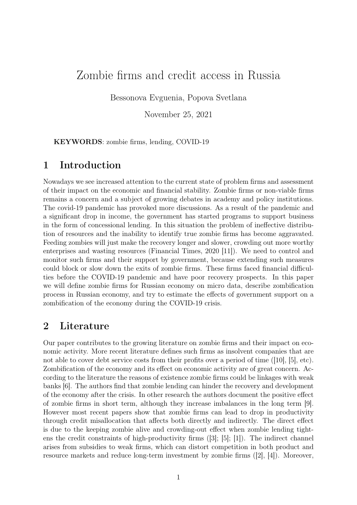# Zombie firms and credit access in Russia

Bessonova Evguenia, Popova Svetlana

November 25, 2021

KEYWORDS: zombie firms, lending, COVID-19

### 1 Introduction

Nowadays we see increased attention to the current state of problem firms and assessment of their impact on the economic and financial stability. Zombie firms or non-viable firms remains a concern and a subject of growing debates in academy and policy institutions. The covid-19 pandemic has provoked more discussions. As a result of the pandemic and a significant drop in income, the government has started programs to support business in the form of concessional lending. In this situation the problem of ineffective distribution of resources and the inability to identify true zombie firms has become aggravated. Feeding zombies will just make the recovery longer and slower, crowding out more worthy enterprises and wasting resources (Financial Times, 2020 [11]). We need to control and monitor such firms and their support by government, because extending such measures could block or slow down the exits of zombie firms. These firms faced financial difficulties before the COVID-19 pandemic and have poor recovery prospects. In this paper we will define zombie firms for Russian economy on micro data, describe zombification process in Russian economy, and try to estimate the effects of government support on a zombification of the economy during the COVID-19 crisis.

## 2 Literature

Our paper contributes to the growing literature on zombie firms and their impact on economic activity. More recent literature defines such firms as insolvent companies that are not able to cover debt service costs from their profits over a period of time ([10], [5], etc). Zombification of the economy and its effect on economic activity are of great concern. According to the literature the reasons of existence zombie firms could be linkages with weak banks [6]. The authors find that zombie lending can hinder the recovery and development of the economy after the crisis. In other research the authors document the positive effect of zombie firms in short term, although they increase imbalances in the long term [9]. However most recent papers show that zombie firms can lead to drop in productivity through credit misallocation that affects both directly and indirectly. The direct effect is due to the keeping zombie alive and crowding-out effect when zombie lending tightens the credit constraints of high-productivity firms  $(3]$ ;  $[5]$ ;  $[1]$ ). The indirect channel arises from subsidies to weak firms, which can distort competition in both product and resource markets and reduce long-term investment by zombie firms ([2], [4]). Moreover,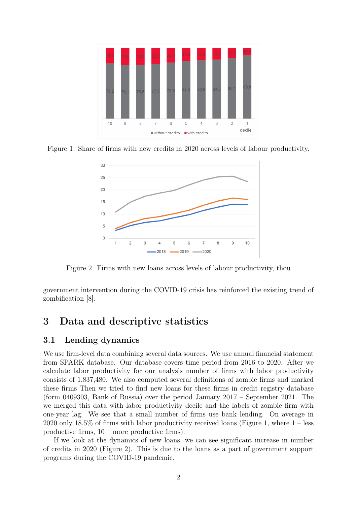

Figure 1. Share of firms with new credits in 2020 across levels of labour productivity.



Figure 2. Firms with new loans across levels of labour productivity, thou

government intervention during the COVID-19 crisis has reinforced the existing trend of zombification [8].

## 3 Data and descriptive statistics

#### 3.1 Lending dynamics

We use firm-level data combining several data sources. We use annual financial statement from SPARK database. Our database covers time period from 2016 to 2020. After we calculate labor productivity for our analysis number of firms with labor productivity consists of 1,837,480. We also computed several definitions of zombie firms and marked these firms Then we tried to find new loans for these firms in credit registry database (form 0409303, Bank of Russia) over the period January 2017 – September 2021. The we merged this data with labor productivity decile and the labels of zombie firm with one-year lag. We see that a small number of firms use bank lending. On average in 2020 only 18.5% of firms with labor productivity received loans (Figure 1, where  $1 - \text{less}$ productive firms, 10 – more productive firms).

If we look at the dynamics of new loans, we can see significant increase in number of credits in 2020 (Figure 2). This is due to the loans as a part of government support programs during the COVID-19 pandemic.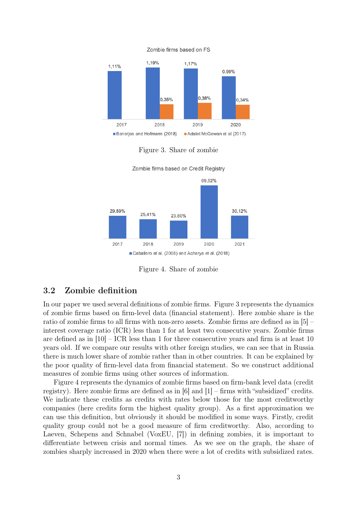

Zombie firms based on FS





Figure 4. Share of zombie

#### 3.2 Zombie definition

In our paper we used several definitions of zombie firms. Figure 3 represents the dynamics of zombie firms based on firm-level data (financial statement). Here zombie share is the ratio of zombie firms to all firms with non-zero assets. Zombie firms are defined as in [5] – interest coverage ratio (ICR) less than 1 for at least two consecutive years. Zombie firms are defined as in  $[10]$  – ICR less than 1 for three consecutive years and firm is at least 10 years old. If we compare our results with other foreign studies, we can see that in Russia there is much lower share of zombie rather than in other countries. It can be explained by the poor quality of firm-level data from financial statement. So we construct additional measures of zombie firms using other sources of information.

Figure 4 represents the dynamics of zombie firms based on firm-bank level data (credit registry). Here zombie firms are defined as in [6] and [1] – firms with "subsidized" credits. We indicate these credits as credits with rates below those for the most creditworthy companies (here credits form the highest quality group). As a first approximation we can use this definition, but obviously it should be modified in some ways. Firstly, credit quality group could not be a good measure of firm creditworthy. Also, according to Laeven, Schepens and Schnabel (VoxEU, [7]) in defining zombies, it is important to differentiate between crisis and normal times. As we see on the graph, the share of zombies sharply increased in 2020 when there were a lot of credits with subsidized rates.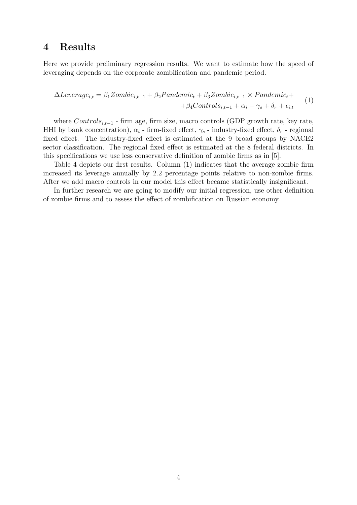## 4 Results

Here we provide preliminary regression results. We want to estimate how the speed of leveraging depends on the corporate zombification and pandemic period.

$$
\Delta Leverage_{i,t} = \beta_1 Zombie_{i,t-1} + \beta_2 Pandemic_t + \beta_3 Zombie_{i,t-1} \times Pandemic_t ++\beta_4 Controls_{i,t-1} + \alpha_i + \gamma_s + \delta_r + \epsilon_{i,t}
$$
 (1)

where  $Controls_{i,t-1}$  - firm age, firm size, macro controls (GDP growth rate, key rate, HHI by bank concentration),  $\alpha_i$  - firm-fixed effect,  $\gamma_s$  - industry-fixed effect,  $\delta_r$  - regional fixed effect. The industry-fixed effect is estimated at the 9 broad groups by NACE2 sector classification. The regional fixed effect is estimated at the 8 federal districts. In this specifications we use less conservative definition of zombie firms as in [5].

Table 4 depicts our first results. Column (1) indicates that the average zombie firm increased its leverage annually by 2.2 percentage points relative to non-zombie firms. After we add macro controls in our model this effect became statistically insignificant.

In further research we are going to modify our initial regression, use other definition of zombie firms and to assess the effect of zombification on Russian economy.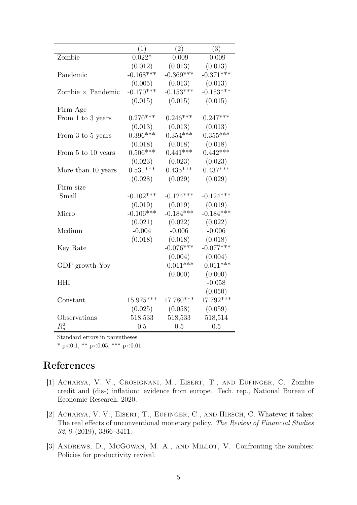|                          | (1)         | (2)         | (3)         |
|--------------------------|-------------|-------------|-------------|
| Zombie                   | $0.022*$    | $-0.009$    | $-0.009$    |
|                          | (0.012)     | (0.013)     | (0.013)     |
| Pandemic                 | $-0.168***$ | $-0.369***$ | $-0.371***$ |
|                          | (0.005)     | (0.013)     | (0.013)     |
| Zombie $\times$ Pandemic | $-0.170***$ | $-0.153***$ | $-0.153***$ |
|                          | (0.015)     | (0.015)     | (0.015)     |
| Firm Age                 |             |             |             |
| From 1 to 3 years        | $0.270***$  | $0.246***$  | $0.247***$  |
|                          | (0.013)     | (0.013)     | (0.013)     |
| From 3 to 5 years        | $0.396***$  | $0.354***$  | $0.355***$  |
|                          | (0.018)     | (0.018)     | (0.018)     |
| From 5 to 10 years       | $0.506***$  | $0.441***$  | $0.442***$  |
|                          | (0.023)     | (0.023)     | (0.023)     |
| More than 10 years       | $0.531***$  | $0.435***$  | $0.437***$  |
|                          | (0.028)     | (0.029)     | (0.029)     |
| Firm size                |             |             |             |
| Small                    | $-0.102***$ | $-0.124***$ | $-0.124***$ |
|                          | (0.019)     | (0.019)     | (0.019)     |
| Micro                    | $-0.106***$ | $-0.184***$ | $-0.184***$ |
|                          | (0.021)     | (0.022)     | (0.022)     |
| Medium                   | $-0.004$    | $-0.006$    | $-0.006$    |
|                          | (0.018)     | (0.018)     | (0.018)     |
| Key Rate                 |             | $-0.076***$ | $-0.077***$ |
|                          |             | (0.004)     | (0.004)     |
| GDP growth Yoy           |             | $-0.011***$ | $-0.011***$ |
|                          |             | (0.000)     | (0.000)     |
| <b>HHI</b>               |             |             | $-0.058$    |
|                          |             |             | (0.050)     |
| Constant                 | 15.975***   | 17.780***   | 17.792***   |
|                          | (0.025)     | (0.058)     | (0.059)     |
| Observations             | 518,533     | 518,533     | 518,514     |
| $R_a^2$                  | 0.5         | 0.5         | 0.5         |

Standard errors in parentheses

\* p<0.1, \*\* p<0.05, \*\*\* p<0.01

## References

- [1] Acharya, V. V., Crosignani, M., Eisert, T., and Eufinger, C. Zombie credit and (dis-) inflation: evidence from europe. Tech. rep., National Bureau of Economic Research, 2020.
- [2] ACHARYA, V. V., EISERT, T., EUFINGER, C., AND HIRSCH, C. Whatever it takes: The real effects of unconventional monetary policy. The Review of Financial Studies 32, 9 (2019), 3366–3411.
- [3] ANDREWS, D., McGOWAN, M. A., AND MILLOT, V. Confronting the zombies: Policies for productivity revival.